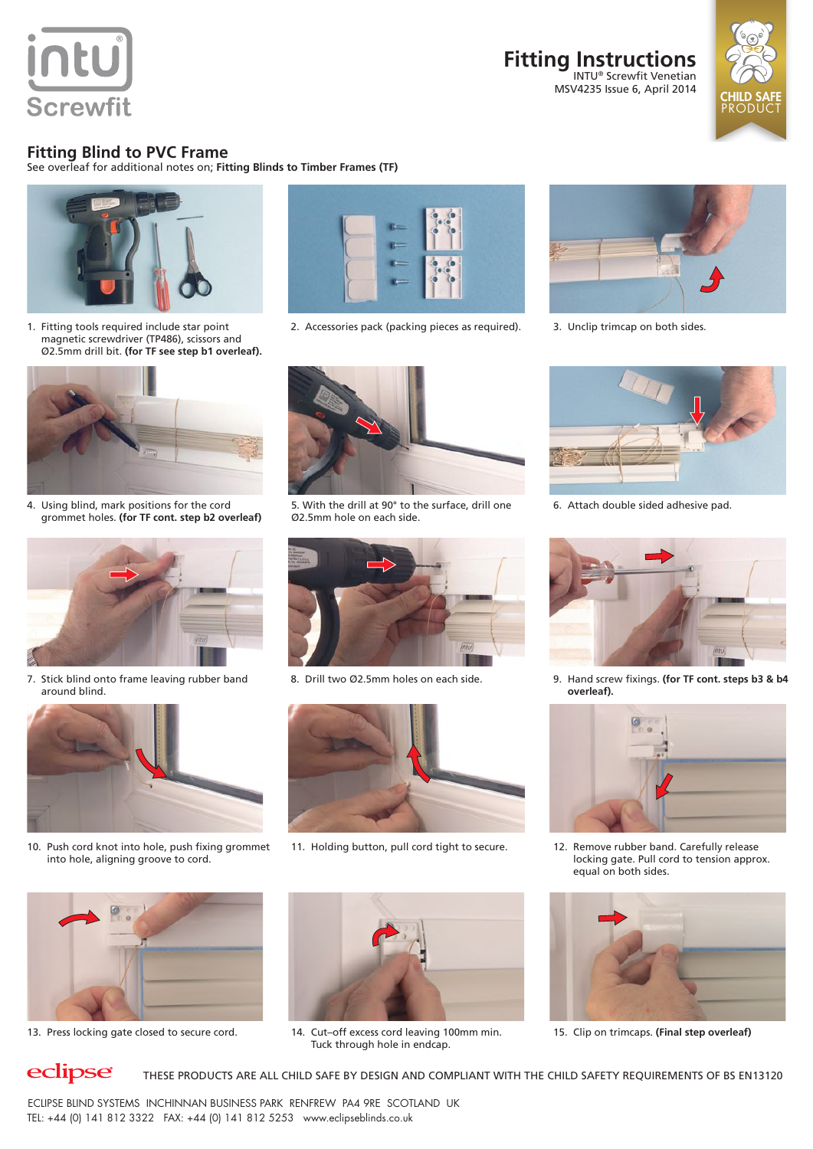

#### **Fitting Instructions** INTU® Screwfit Venetian MSV4235 Issue 6, April 2014



### **Fitting Blind to PVC Frame**

See overleaf for additional notes on; **Fitting Blinds to Timber Frames (TF)**



1. Fitting tools required include star point magnetic screwdriver (TP486), scissors and Ø2.5mm drill bit. **(for TF see step b1 overleaf).**



4. Using blind, mark positions for the cord grommet holes. **(for TF cont. step b2 overleaf)**



7. Stick blind onto frame leaving rubber band around blind.



10. Push cord knot into hole, push fixing grommet into hole, aligning groove to cord.



2. Accessories pack (packing pieces as required). 3. Unclip trimcap on both sides.



5. With the drill at 90° to the surface, drill one Ø2.5mm hole on each side.





11. Holding button, pull cord tight to secure. 12. Remove rubber band. Carefully release





13. Press locking gate closed to secure cord. 14. Cut-off excess cord leaving 100mm min. Tuck through hole in endcap.





6. Attach double sided adhesive pad.



8. Drill two Ø2.5mm holes on each side. 9. Hand screw fixings. **(for TF cont. steps b3 & b4 overleaf).**



locking gate. Pull cord to tension approx. equal on both sides.



15. Clip on trimcaps. **(Final step overleaf)**

## eclipse

THESE PRODUCTS ARE ALL CHILD SAFE BY DESIGN AND COMPLIANT WITH THE CHILD SAFETY REQUIREMENTS OF BS EN13120

ECLIPSE BLIND SYSTEMS INCHINNAN BUSINESS PARK RENFREW PA4 9RE SCOTLAND UK TEL: +44 (0) 141 812 3322 FAX: +44 (0) 141 812 5253 www.eclipseblinds.co.uk